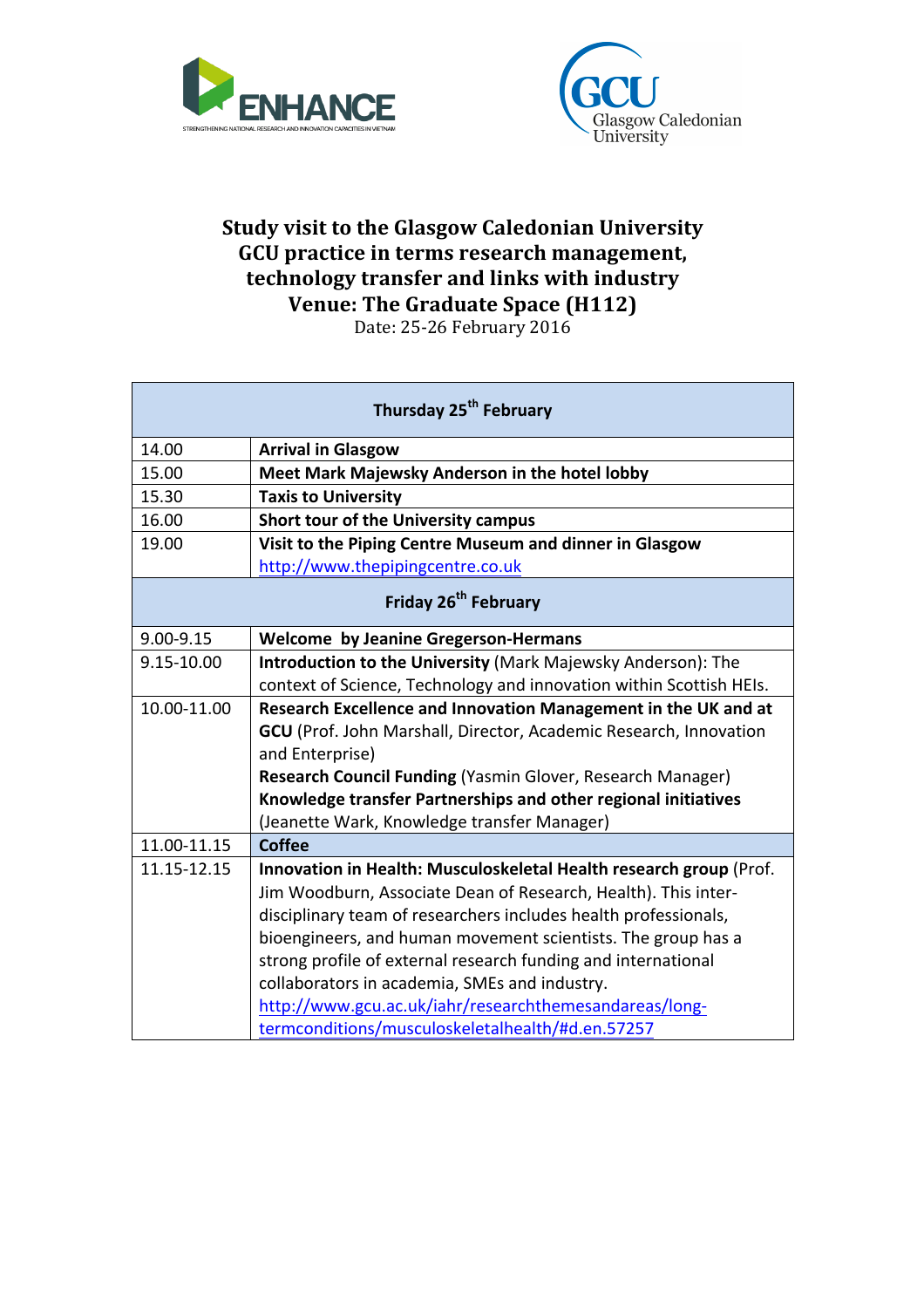



## **Study visit to the Glasgow Caledonian University** GCU practice in terms research management, technology transfer and links with industry **Venue: The Graduate Space (H112)**

Date: 25-26 February 2016

| Thursday 25 <sup>th</sup> February |                                                                     |  |
|------------------------------------|---------------------------------------------------------------------|--|
| 14.00                              | <b>Arrival in Glasgow</b>                                           |  |
| 15.00                              | Meet Mark Majewsky Anderson in the hotel lobby                      |  |
| 15.30                              | <b>Taxis to University</b>                                          |  |
| 16.00                              | Short tour of the University campus                                 |  |
| 19.00                              | Visit to the Piping Centre Museum and dinner in Glasgow             |  |
|                                    | http://www.thepipingcentre.co.uk                                    |  |
| Friday 26 <sup>th</sup> February   |                                                                     |  |
| 9.00-9.15                          | <b>Welcome by Jeanine Gregerson-Hermans</b>                         |  |
| 9.15-10.00                         | Introduction to the University (Mark Majewsky Anderson): The        |  |
|                                    | context of Science, Technology and innovation within Scottish HEIs. |  |
| 10.00-11.00                        | Research Excellence and Innovation Management in the UK and at      |  |
|                                    | GCU (Prof. John Marshall, Director, Academic Research, Innovation   |  |
|                                    | and Enterprise)                                                     |  |
|                                    | Research Council Funding (Yasmin Glover, Research Manager)          |  |
|                                    | Knowledge transfer Partnerships and other regional initiatives      |  |
|                                    | (Jeanette Wark, Knowledge transfer Manager)                         |  |
| 11.00-11.15                        | Coffee                                                              |  |
| 11.15-12.15                        | Innovation in Health: Musculoskeletal Health research group (Prof.  |  |
|                                    | Jim Woodburn, Associate Dean of Research, Health). This inter-      |  |
|                                    | disciplinary team of researchers includes health professionals,     |  |
|                                    | bioengineers, and human movement scientists. The group has a        |  |
|                                    | strong profile of external research funding and international       |  |
|                                    | collaborators in academia, SMEs and industry.                       |  |
|                                    | http://www.gcu.ac.uk/iahr/researchthemesandareas/long-              |  |
|                                    | termconditions/musculoskeletalhealth/#d.en.57257                    |  |